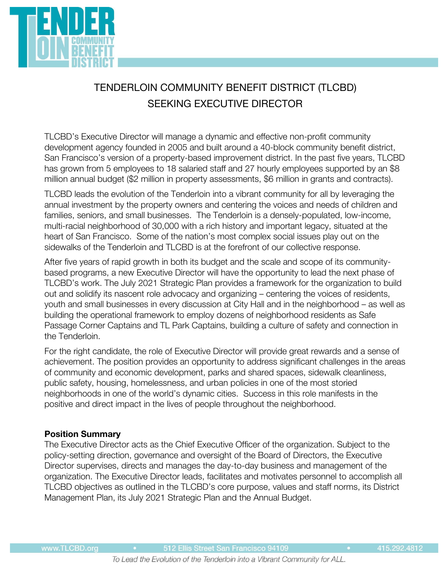

# TENDERLOIN COMMUNITY BENEFIT DISTRICT (TLCBD) SEEKING EXECUTIVE DIRECTOR

TLCBD's Executive Director will manage a dynamic and effective non-profit community development agency founded in 2005 and built around a 40-block community benefit district, San Francisco's version of a property-based improvement district. In the past five years, TLCBD has grown from 5 employees to 18 salaried staff and 27 hourly employees supported by an \$8 million annual budget (\$2 million in property assessments, \$6 million in grants and contracts).

TLCBD leads the evolution of the Tenderloin into a vibrant community for all by leveraging the annual investment by the property owners and centering the voices and needs of children and families, seniors, and small businesses. The Tenderloin is a densely-populated, low-income, multi-racial neighborhood of 30,000 with a rich history and important legacy, situated at the heart of San Francisco. Some of the nation's most complex social issues play out on the sidewalks of the Tenderloin and TLCBD is at the forefront of our collective response.

After five years of rapid growth in both its budget and the scale and scope of its communitybased programs, a new Executive Director will have the opportunity to lead the next phase of TLCBD's work. The July 2021 Strategic Plan provides a framework for the organization to build out and solidify its nascent role advocacy and organizing – centering the voices of residents, youth and small businesses in every discussion at City Hall and in the neighborhood – as well as building the operational framework to employ dozens of neighborhood residents as Safe Passage Corner Captains and TL Park Captains, building a culture of safety and connection in the Tenderloin.

For the right candidate, the role of Executive Director will provide great rewards and a sense of achievement. The position provides an opportunity to address significant challenges in the areas of community and economic development, parks and shared spaces, sidewalk cleanliness, public safety, housing, homelessness, and urban policies in one of the most storied neighborhoods in one of the world's dynamic cities. Success in this role manifests in the positive and direct impact in the lives of people throughout the neighborhood.

## **Position Summary**

The Executive Director acts as the Chief Executive Officer of the organization. Subject to the policy-setting direction, governance and oversight of the Board of Directors, the Executive Director supervises, directs and manages the day-to-day business and management of the organization. The Executive Director leads, facilitates and motivates personnel to accomplish all TLCBD objectives as outlined in the TLCBD's core purpose, values and staff norms, its District Management Plan, its July 2021 Strategic Plan and the Annual Budget.

To Lead the Evolution of the Tenderloin into a Vibrant Community for ALL.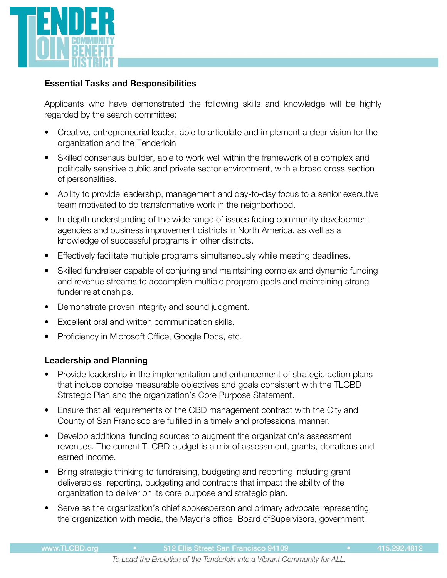

#### **Essential Tasks and Responsibilities**

Applicants who have demonstrated the following skills and knowledge will be highly regarded by the search committee:

- Creative, entrepreneurial leader, able to articulate and implement a clear vision for the organization and the Tenderloin
- Skilled consensus builder, able to work well within the framework of a complex and politically sensitive public and private sector environment, with a broad cross section of personalities.
- Ability to provide leadership, management and day-to-day focus to a senior executive team motivated to do transformative work in the neighborhood.
- In-depth understanding of the wide range of issues facing community development agencies and business improvement districts in North America, as well as a knowledge of successful programs in other districts.
- Effectively facilitate multiple programs simultaneously while meeting deadlines.
- Skilled fundraiser capable of conjuring and maintaining complex and dynamic funding and revenue streams to accomplish multiple program goals and maintaining strong funder relationships.
- Demonstrate proven integrity and sound judgment.
- Excellent oral and written communication skills.
- Proficiency in Microsoft Office, Google Docs, etc.

## **Leadership and Planning**

- Provide leadership in the implementation and enhancement of strategic action plans that include concise measurable objectives and goals consistent with the TLCBD Strategic Plan and the organization's Core Purpose Statement.
- Ensure that all requirements of the CBD management contract with the City and County of San Francisco are fulfilled in a timely and professional manner.
- Develop additional funding sources to augment the organization's assessment revenues. The current TLCBD budget is a mix of assessment, grants, donations and earned income.
- Bring strategic thinking to fundraising, budgeting and reporting including grant deliverables, reporting, budgeting and contracts that impact the ability of the organization to deliver on its core purpose and strategic plan.
- Serve as the organization's chief spokesperson and primary advocate representing the organization with media, the Mayor's office, Board ofSupervisors, government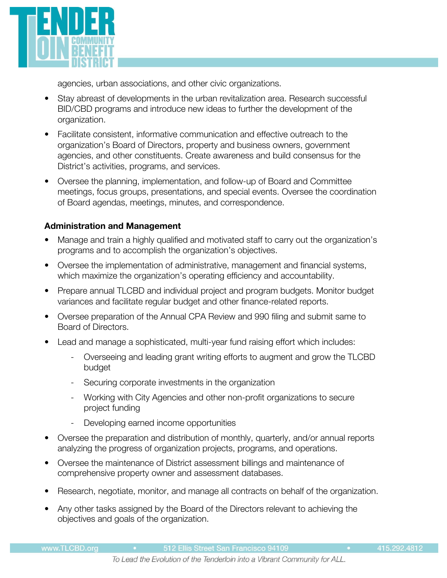

agencies, urban associations, and other civic organizations.

- Stay abreast of developments in the urban revitalization area. Research successful BID/CBD programs and introduce new ideas to further the development of the organization.
- Facilitate consistent, informative communication and effective outreach to the organization's Board of Directors, property and business owners, government agencies, and other constituents. Create awareness and build consensus for the District's activities, programs, and services.
- Oversee the planning, implementation, and follow-up of Board and Committee meetings, focus groups, presentations, and special events. Oversee the coordination of Board agendas, meetings, minutes, and correspondence.

## **Administration and Management**

- Manage and train a highly qualified and motivated staff to carry out the organization's programs and to accomplish the organization's objectives.
- Oversee the implementation of administrative, management and financial systems, which maximize the organization's operating efficiency and accountability.
- Prepare annual TLCBD and individual project and program budgets. Monitor budget variances and facilitate regular budget and other finance-related reports.
- Oversee preparation of the Annual CPA Review and 990 filing and submit same to Board of Directors.
- Lead and manage a sophisticated, multi-year fund raising effort which includes:
	- Overseeing and leading grant writing efforts to augment and grow the TLCBD budget
	- Securing corporate investments in the organization
	- Working with City Agencies and other non-profit organizations to secure project funding
	- Developing earned income opportunities
- Oversee the preparation and distribution of monthly, quarterly, and/or annual reports analyzing the progress of organization projects, programs, and operations.
- Oversee the maintenance of District assessment billings and maintenance of comprehensive property owner and assessment databases.
- Research, negotiate, monitor, and manage all contracts on behalf of the organization.
- Any other tasks assigned by the Board of the Directors relevant to achieving the objectives and goals of the organization.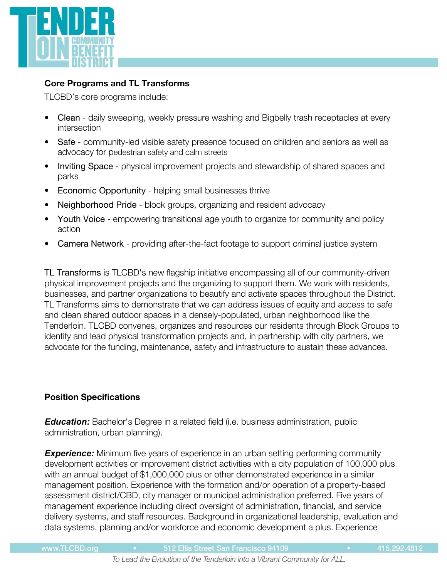

## **Core Programs and TL Transforms**

TLCBD's core programs include:

- Clean daily sweeping, weekly pressure washing and Bigbelly trash receptacles at every intersection
- Safe community-led visible safety presence focused on children and seniors as well as advocacy for pedestrian safety and calm streets
- Inviting Space physical improvement projects and stewardship of shared spaces and parks
- Economic Opportunity helping small businesses thrive
- Neighborhood Pride block groups, organizing and resident advocacy
- Youth Voice empowering transitional age youth to organize for community and policy action
- Camera Network providing after-the-fact footage to support criminal justice system

TL Transforms is TLCBD's new flagship initiative encompassing all of our community-driven physical improvement projects and the organizing to support them. We work with residents, businesses, and partner organizations to beautify and activate spaces throughout the District. TL Transforms aims to demonstrate that we can address issues of equity and access to safe and clean shared outdoor spaces in a densely-populated, urban neighborhood like the Tenderloin. TLCBD convenes, organizes and resources our residents through Block Groups to identify and lead physical transformation projects and, in partnership with city partners, we advocate for the funding, maintenance, safety and infrastructure to sustain these advances.

## **Position Specifications**

*Education:* Bachelor's Degree in a related field (i.e. business administration, public administration, urban planning).

**Experience:** Minimum five years of experience in an urban setting performing community development activities or improvement district activities with a city population of 100,000 plus with an annual budget of \$1,000,000 plus or other demonstrated experience in a similar management position. Experience with the formation and/or operation of a property-based assessment district/CBD, city manager or municipal administration preferred. Five years of management experience including direct oversight of administration, financial, and service delivery systems, and staff resources. Background in organizational leadership, evaluation and data systems, planning and/or workforce and economic development a plus. Experience